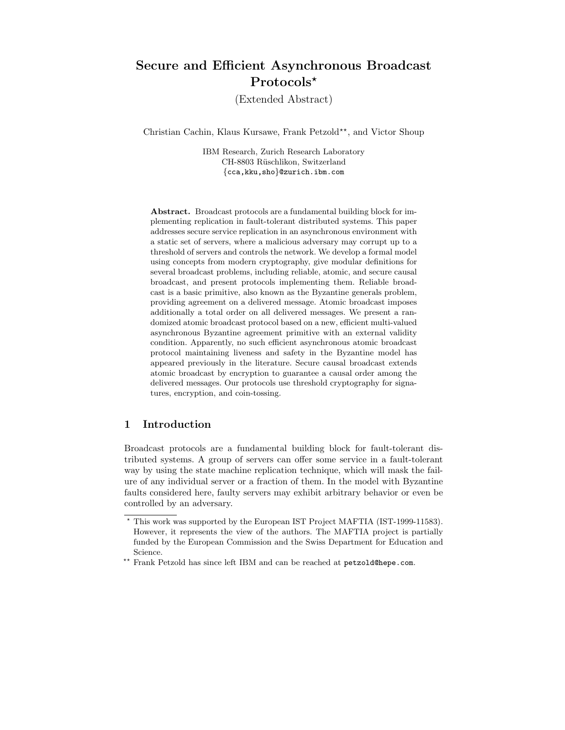# Secure and Efficient Asynchronous Broadcast Protocols\*

(Extended Abstract)

Christian Cachin, Klaus Kursawe, Frank Petzold\*\*, and Victor Shoup

IBM Research, Zurich Research Laboratory CH-8803 Rüschlikon, Switzerland {cca,kku,sho}@zurich.ibm.com

Abstract. Broadcast protocols are a fundamental building block for implementing replication in fault-tolerant distributed systems. This paper addresses secure service replication in an asynchronous environment with a static set of servers, where a malicious adversary may corrupt up to a threshold of servers and controls the network. We develop a formal model using concepts from modern cryptography, give modular definitions for several broadcast problems, including reliable, atomic, and secure causal broadcast, and present protocols implementing them. Reliable broadcast is a basic primitive, also known as the Byzantine generals problem, providing agreement on a delivered message. Atomic broadcast imposes additionally a total order on all delivered messages. We present a randomized atomic broadcast protocol based on a new, efficient multi-valued asynchronous Byzantine agreement primitive with an external validity condition. Apparently, no such efficient asynchronous atomic broadcast protocol maintaining liveness and safety in the Byzantine model has appeared previously in the literature. Secure causal broadcast extends atomic broadcast by encryption to guarantee a causal order among the delivered messages. Our protocols use threshold cryptography for signatures, encryption, and coin-tossing.

## 1 Introduction

Broadcast protocols are a fundamental building block for fault-tolerant distributed systems. A group of servers can offer some service in a fault-tolerant way by using the state machine replication technique, which will mask the failure of any individual server or a fraction of them. In the model with Byzantine faults considered here, faulty servers may exhibit arbitrary behavior or even be controlled by an adversary.

<sup>?</sup> This work was supported by the European IST Project MAFTIA (IST-1999-11583). However, it represents the view of the authors. The MAFTIA project is partially funded by the European Commission and the Swiss Department for Education and Science.

<sup>\*\*</sup> Frank Petzold has since left IBM and can be reached at petzold@hepe.com.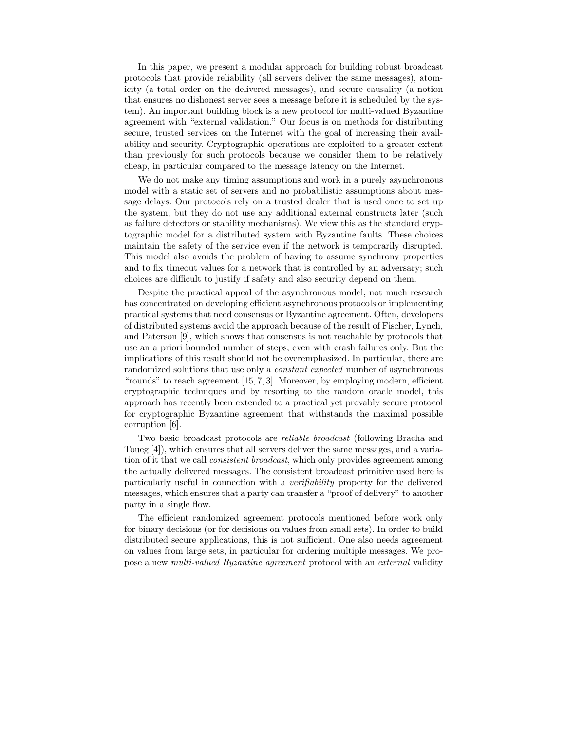In this paper, we present a modular approach for building robust broadcast protocols that provide reliability (all servers deliver the same messages), atomicity (a total order on the delivered messages), and secure causality (a notion that ensures no dishonest server sees a message before it is scheduled by the system). An important building block is a new protocol for multi-valued Byzantine agreement with "external validation." Our focus is on methods for distributing secure, trusted services on the Internet with the goal of increasing their availability and security. Cryptographic operations are exploited to a greater extent than previously for such protocols because we consider them to be relatively cheap, in particular compared to the message latency on the Internet.

We do not make any timing assumptions and work in a purely asynchronous model with a static set of servers and no probabilistic assumptions about message delays. Our protocols rely on a trusted dealer that is used once to set up the system, but they do not use any additional external constructs later (such as failure detectors or stability mechanisms). We view this as the standard cryptographic model for a distributed system with Byzantine faults. These choices maintain the safety of the service even if the network is temporarily disrupted. This model also avoids the problem of having to assume synchrony properties and to fix timeout values for a network that is controlled by an adversary; such choices are difficult to justify if safety and also security depend on them.

Despite the practical appeal of the asynchronous model, not much research has concentrated on developing efficient asynchronous protocols or implementing practical systems that need consensus or Byzantine agreement. Often, developers of distributed systems avoid the approach because of the result of Fischer, Lynch, and Paterson [9], which shows that consensus is not reachable by protocols that use an a priori bounded number of steps, even with crash failures only. But the implications of this result should not be overemphasized. In particular, there are randomized solutions that use only a *constant expected* number of asynchronous "rounds" to reach agreement [15, 7, 3]. Moreover, by employing modern, efficient cryptographic techniques and by resorting to the random oracle model, this approach has recently been extended to a practical yet provably secure protocol for cryptographic Byzantine agreement that withstands the maximal possible corruption [6].

Two basic broadcast protocols are reliable broadcast (following Bracha and Toueg [4]), which ensures that all servers deliver the same messages, and a variation of it that we call *consistent broadcast*, which only provides agreement among the actually delivered messages. The consistent broadcast primitive used here is particularly useful in connection with a verifiability property for the delivered messages, which ensures that a party can transfer a "proof of delivery" to another party in a single flow.

The efficient randomized agreement protocols mentioned before work only for binary decisions (or for decisions on values from small sets). In order to build distributed secure applications, this is not sufficient. One also needs agreement on values from large sets, in particular for ordering multiple messages. We propose a new multi-valued Byzantine agreement protocol with an external validity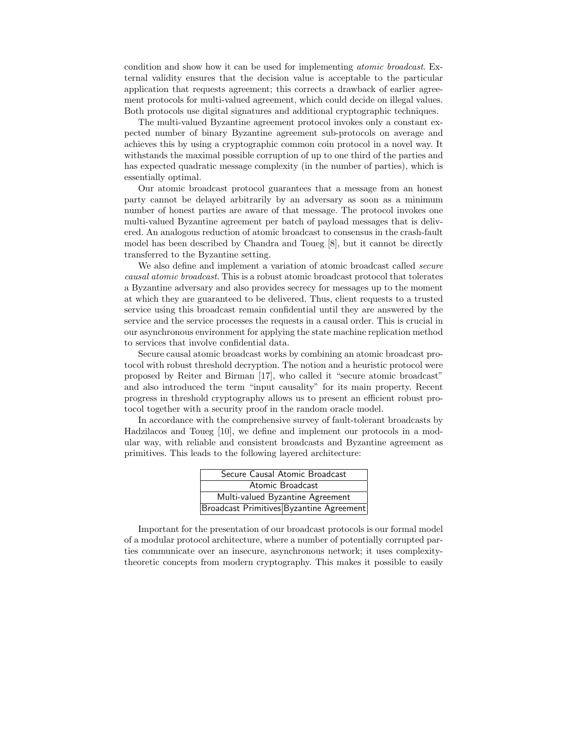condition and show how it can be used for implementing atomic broadcast. External validity ensures that the decision value is acceptable to the particular application that requests agreement; this corrects a drawback of earlier agreement protocols for multi-valued agreement, which could decide on illegal values. Both protocols use digital signatures and additional cryptographic techniques.

The multi-valued Byzantine agreement protocol invokes only a constant expected number of binary Byzantine agreement sub-protocols on average and achieves this by using a cryptographic common coin protocol in a novel way. It withstands the maximal possible corruption of up to one third of the parties and has expected quadratic message complexity (in the number of parties), which is essentially optimal.

Our atomic broadcast protocol guarantees that a message from an honest party cannot be delayed arbitrarily by an adversary as soon as a minimum number of honest parties are aware of that message. The protocol invokes one multi-valued Byzantine agreement per batch of payload messages that is delivered. An analogous reduction of atomic broadcast to consensus in the crash-fault model has been described by Chandra and Toueg [8], but it cannot be directly transferred to the Byzantine setting.

We also define and implement a variation of atomic broadcast called *secure* causal atomic broadcast. This is a robust atomic broadcast protocol that tolerates a Byzantine adversary and also provides secrecy for messages up to the moment at which they are guaranteed to be delivered. Thus, client requests to a trusted service using this broadcast remain confidential until they are answered by the service and the service processes the requests in a causal order. This is crucial in our asynchronous environment for applying the state machine replication method to services that involve confidential data.

Secure causal atomic broadcast works by combining an atomic broadcast protocol with robust threshold decryption. The notion and a heuristic protocol were proposed by Reiter and Birman [17], who called it "secure atomic broadcast" and also introduced the term "input causality" for its main property. Recent progress in threshold cryptography allows us to present an efficient robust protocol together with a security proof in the random oracle model.

In accordance with the comprehensive survey of fault-tolerant broadcasts by Hadzilacos and Toueg [10], we define and implement our protocols in a modular way, with reliable and consistent broadcasts and Byzantine agreement as primitives. This leads to the following layered architecture:

| Secure Causal Atomic Broadcast           |  |
|------------------------------------------|--|
| Atomic Broadcast                         |  |
| Multi-valued Byzantine Agreement         |  |
| Broadcast Primitives Byzantine Agreement |  |

Important for the presentation of our broadcast protocols is our formal model of a modular protocol architecture, where a number of potentially corrupted parties communicate over an insecure, asynchronous network; it uses complexitytheoretic concepts from modern cryptography. This makes it possible to easily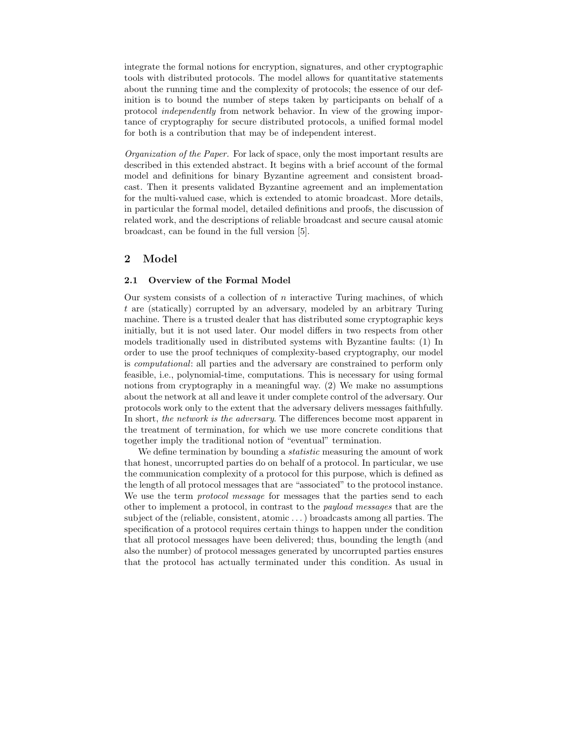integrate the formal notions for encryption, signatures, and other cryptographic tools with distributed protocols. The model allows for quantitative statements about the running time and the complexity of protocols; the essence of our definition is to bound the number of steps taken by participants on behalf of a protocol independently from network behavior. In view of the growing importance of cryptography for secure distributed protocols, a unified formal model for both is a contribution that may be of independent interest.

Organization of the Paper. For lack of space, only the most important results are described in this extended abstract. It begins with a brief account of the formal model and definitions for binary Byzantine agreement and consistent broadcast. Then it presents validated Byzantine agreement and an implementation for the multi-valued case, which is extended to atomic broadcast. More details, in particular the formal model, detailed definitions and proofs, the discussion of related work, and the descriptions of reliable broadcast and secure causal atomic broadcast, can be found in the full version [5].

# 2 Model

#### 2.1 Overview of the Formal Model

Our system consists of a collection of  $n$  interactive Turing machines, of which t are (statically) corrupted by an adversary, modeled by an arbitrary Turing machine. There is a trusted dealer that has distributed some cryptographic keys initially, but it is not used later. Our model differs in two respects from other models traditionally used in distributed systems with Byzantine faults: (1) In order to use the proof techniques of complexity-based cryptography, our model is computational: all parties and the adversary are constrained to perform only feasible, i.e., polynomial-time, computations. This is necessary for using formal notions from cryptography in a meaningful way. (2) We make no assumptions about the network at all and leave it under complete control of the adversary. Our protocols work only to the extent that the adversary delivers messages faithfully. In short, the network is the adversary. The differences become most apparent in the treatment of termination, for which we use more concrete conditions that together imply the traditional notion of "eventual" termination.

We define termination by bounding a *statistic* measuring the amount of work that honest, uncorrupted parties do on behalf of a protocol. In particular, we use the communication complexity of a protocol for this purpose, which is defined as the length of all protocol messages that are "associated" to the protocol instance. We use the term *protocol message* for messages that the parties send to each other to implement a protocol, in contrast to the payload messages that are the subject of the (reliable, consistent, atomic . . .) broadcasts among all parties. The specification of a protocol requires certain things to happen under the condition that all protocol messages have been delivered; thus, bounding the length (and also the number) of protocol messages generated by uncorrupted parties ensures that the protocol has actually terminated under this condition. As usual in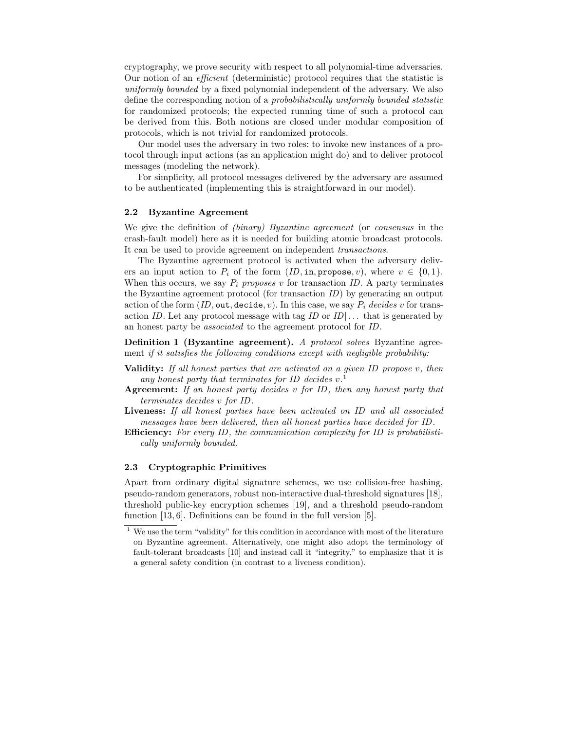cryptography, we prove security with respect to all polynomial-time adversaries. Our notion of an efficient (deterministic) protocol requires that the statistic is uniformly bounded by a fixed polynomial independent of the adversary. We also define the corresponding notion of a probabilistically uniformly bounded statistic for randomized protocols; the expected running time of such a protocol can be derived from this. Both notions are closed under modular composition of protocols, which is not trivial for randomized protocols.

Our model uses the adversary in two roles: to invoke new instances of a protocol through input actions (as an application might do) and to deliver protocol messages (modeling the network).

For simplicity, all protocol messages delivered by the adversary are assumed to be authenticated (implementing this is straightforward in our model).

#### 2.2 Byzantine Agreement

We give the definition of (binary) Byzantine agreement (or consensus in the crash-fault model) here as it is needed for building atomic broadcast protocols. It can be used to provide agreement on independent transactions.

The Byzantine agreement protocol is activated when the adversary delivers an input action to  $P_i$  of the form  $(ID, \text{in}, \text{propose}, v)$ , where  $v \in \{0, 1\}$ . When this occurs, we say  $P_i$  proposes v for transaction ID. A party terminates the Byzantine agreement protocol (for transaction  $ID$ ) by generating an output action of the form  $(ID, \text{out}, \text{decide}, v)$ . In this case, we say  $P_i$  decides v for transaction ID. Let any protocol message with tag ID or ID  $\ldots$  that is generated by an honest party be associated to the agreement protocol for ID.

Definition 1 (Byzantine agreement). A protocol solves Byzantine agreement if it satisfies the following conditions except with negligible probability:

- Validity: If all honest parties that are activated on a given ID propose v, then any honest party that terminates for ID decides  $v^{\dagger}$ .
- Agreement: If an honest party decides v for ID, then any honest party that terminates decides v for ID.
- Liveness: If all honest parties have been activated on ID and all associated messages have been delivered, then all honest parties have decided for ID.
- Efficiency: For every ID, the communication complexity for ID is probabilistically uniformly bounded.

#### 2.3 Cryptographic Primitives

Apart from ordinary digital signature schemes, we use collision-free hashing, pseudo-random generators, robust non-interactive dual-threshold signatures [18], threshold public-key encryption schemes [19], and a threshold pseudo-random function [13, 6]. Definitions can be found in the full version [5].

 $^{\rm 1}$  We use the term "validity" for this condition in accordance with most of the literature on Byzantine agreement. Alternatively, one might also adopt the terminology of fault-tolerant broadcasts [10] and instead call it "integrity," to emphasize that it is a general safety condition (in contrast to a liveness condition).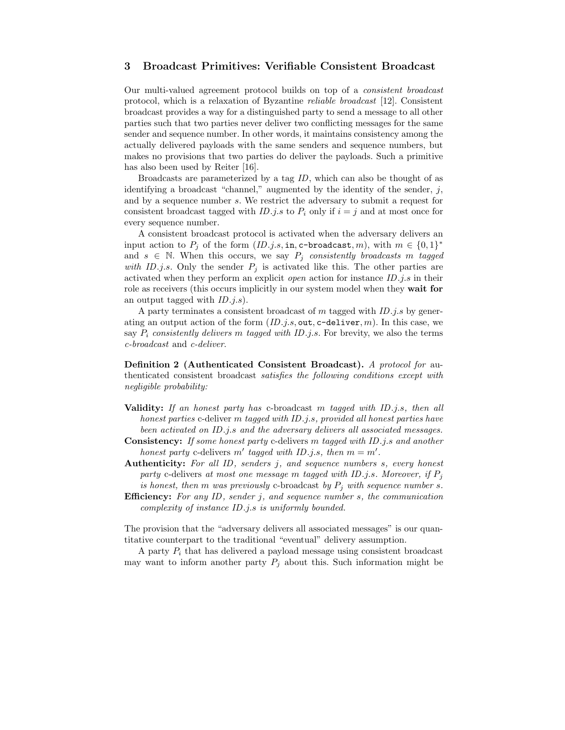# 3 Broadcast Primitives: Verifiable Consistent Broadcast

Our multi-valued agreement protocol builds on top of a consistent broadcast protocol, which is a relaxation of Byzantine reliable broadcast [12]. Consistent broadcast provides a way for a distinguished party to send a message to all other parties such that two parties never deliver two conflicting messages for the same sender and sequence number. In other words, it maintains consistency among the actually delivered payloads with the same senders and sequence numbers, but makes no provisions that two parties do deliver the payloads. Such a primitive has also been used by Reiter [16].

Broadcasts are parameterized by a tag ID, which can also be thought of as identifying a broadcast "channel," augmented by the identity of the sender,  $i$ , and by a sequence number s. We restrict the adversary to submit a request for consistent broadcast tagged with ID.j.s to  $P_i$  only if  $i = j$  and at most once for every sequence number.

A consistent broadcast protocol is activated when the adversary delivers an input action to  $P_j$  of the form  $(ID.j.s, in, c$ -broadcast, m, with  $m \in \{0,1\}^*$ and  $s \in \mathbb{N}$ . When this occurs, we say  $P_j$  consistently broadcasts m tagged with ID.j.s. Only the sender  $P_i$  is activated like this. The other parties are activated when they perform an explicit open action for instance ID.j.s in their role as receivers (this occurs implicitly in our system model when they **wait for** an output tagged with  $ID.j.s$ .

A party terminates a consistent broadcast of m tagged with  $ID.j.s$  by generating an output action of the form  $(ID.j.s., out, c-deliver, m)$ . In this case, we say  $P_i$  consistently delivers m tagged with ID.j.s. For brevity, we also the terms c-broadcast and c-deliver.

Definition 2 (Authenticated Consistent Broadcast). A protocol for authenticated consistent broadcast satisfies the following conditions except with negligible probability:

- Validity: If an honest party has c-broadcast m tagged with  $ID.j.s.$ , then all honest parties c-deliver m tagged with ID.j.s, provided all honest parties have been activated on ID.j.s and the adversary delivers all associated messages.
- Consistency: If some honest party c-delivers m tagged with ID.j.s and another honest party c-delivers m' tagged with ID.j.s, then  $m = m'$ .
- Authenticity: For all ID, senders j, and sequence numbers s, every honest party c-delivers at most one message m tagged with ID.j.s. Moreover, if  $P_j$ is honest, then m was previously c-broadcast by  $P_j$  with sequence number s.
- **Efficiency:** For any  $ID$ , sender  $j$ , and sequence number  $s$ , the communication complexity of instance ID.j.s is uniformly bounded.

The provision that the "adversary delivers all associated messages" is our quantitative counterpart to the traditional "eventual" delivery assumption.

A party  $P_i$  that has delivered a payload message using consistent broadcast may want to inform another party  $P_j$  about this. Such information might be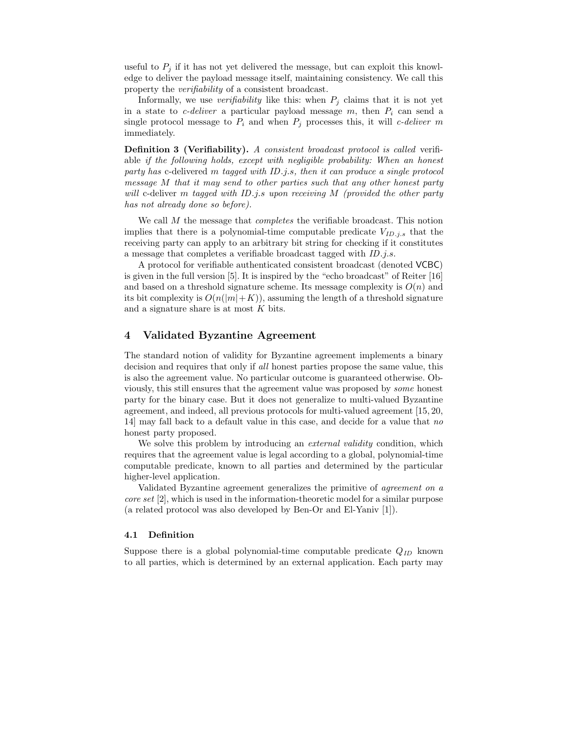useful to  $P_j$  if it has not yet delivered the message, but can exploit this knowledge to deliver the payload message itself, maintaining consistency. We call this property the verifiability of a consistent broadcast.

Informally, we use *verifiability* like this: when  $P_j$  claims that it is not yet in a state to *c*-deliver a particular payload message  $m$ , then  $P_i$  can send a single protocol message to  $P_i$  and when  $P_j$  processes this, it will *c-deliver* m immediately.

Definition 3 (Verifiability). A consistent broadcast protocol is called verifiable if the following holds, except with negligible probability: When an honest party has c-delivered m tagged with ID.j.s, then it can produce a single protocol message M that it may send to other parties such that any other honest party will c-deliver m tagged with ID.j.s upon receiving M (provided the other party has not already done so before).

We call M the message that *completes* the verifiable broadcast. This notion implies that there is a polynomial-time computable predicate  $V_{ID,j,s}$  that the receiving party can apply to an arbitrary bit string for checking if it constitutes a message that completes a verifiable broadcast tagged with ID.j.s.

A protocol for verifiable authenticated consistent broadcast (denoted VCBC) is given in the full version [5]. It is inspired by the "echo broadcast" of Reiter [16] and based on a threshold signature scheme. Its message complexity is  $O(n)$  and its bit complexity is  $O(n(|m|+K))$ , assuming the length of a threshold signature and a signature share is at most K bits.

### 4 Validated Byzantine Agreement

The standard notion of validity for Byzantine agreement implements a binary decision and requires that only if all honest parties propose the same value, this is also the agreement value. No particular outcome is guaranteed otherwise. Obviously, this still ensures that the agreement value was proposed by some honest party for the binary case. But it does not generalize to multi-valued Byzantine agreement, and indeed, all previous protocols for multi-valued agreement [15, 20, 14] may fall back to a default value in this case, and decide for a value that no honest party proposed.

We solve this problem by introducing an *external validity* condition, which requires that the agreement value is legal according to a global, polynomial-time computable predicate, known to all parties and determined by the particular higher-level application.

Validated Byzantine agreement generalizes the primitive of agreement on a core set [2], which is used in the information-theoretic model for a similar purpose (a related protocol was also developed by Ben-Or and El-Yaniv [1]).

#### 4.1 Definition

Suppose there is a global polynomial-time computable predicate  $Q_{ID}$  known to all parties, which is determined by an external application. Each party may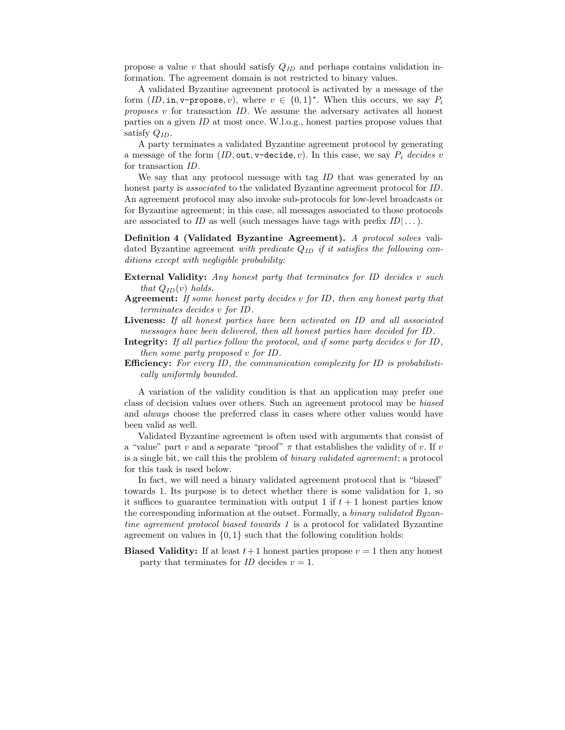propose a value v that should satisfy  $Q_{ID}$  and perhaps contains validation information. The agreement domain is not restricted to binary values.

A validated Byzantine agreement protocol is activated by a message of the form  $(ID, in, v\text{-propose}, v)$ , where  $v \in \{0, 1\}^*$ . When this occurs, we say  $P_i$ proposes v for transaction ID. We assume the adversary activates all honest parties on a given ID at most once. W.l.o.g., honest parties propose values that satisfy  $Q_{ID}$ .

A party terminates a validated Byzantine agreement protocol by generating a message of the form  $(ID, \text{out}, \text{v-decide}, v)$ . In this case, we say  $P_i$  decides v for transaction ID.

We say that any protocol message with tag ID that was generated by an honest party is *associated* to the validated Byzantine agreement protocol for ID. An agreement protocol may also invoke sub-protocols for low-level broadcasts or for Byzantine agreement; in this case, all messages associated to those protocols are associated to ID as well (such messages have tags with prefix  $ID | \dots$ ).

Definition 4 (Validated Byzantine Agreement). A protocol solves validated Byzantine agreement with predicate  $Q_{ID}$  if it satisfies the following conditions except with negligible probability:

- External Validity: Any honest party that terminates for ID decides v such that  $Q_{ID}(v)$  holds.
- Agreement: If some honest party decides v for ID, then any honest party that terminates decides v for ID.
- Liveness: If all honest parties have been activated on ID and all associated messages have been delivered, then all honest parties have decided for ID.
- Integrity: If all parties follow the protocol, and if some party decides v for ID, then some party proposed v for ID.
- Efficiency: For every ID, the communication complexity for ID is probabilistically uniformly bounded.

A variation of the validity condition is that an application may prefer one class of decision values over others. Such an agreement protocol may be biased and always choose the preferred class in cases where other values would have been valid as well.

Validated Byzantine agreement is often used with arguments that consist of a "value" part v and a separate "proof"  $\pi$  that establishes the validity of v. If v is a single bit, we call this the problem of binary validated agreement; a protocol for this task is used below.

In fact, we will need a binary validated agreement protocol that is "biased" towards 1. Its purpose is to detect whether there is some validation for 1, so it suffices to guarantee termination with output 1 if  $t + 1$  honest parties know the corresponding information at the outset. Formally, a binary validated Byzantine agreement protocol biased towards 1 is a protocol for validated Byzantine agreement on values in  $\{0, 1\}$  such that the following condition holds:

**Biased Validity:** If at least  $t+1$  honest parties propose  $v = 1$  then any honest party that terminates for ID decides  $v = 1$ .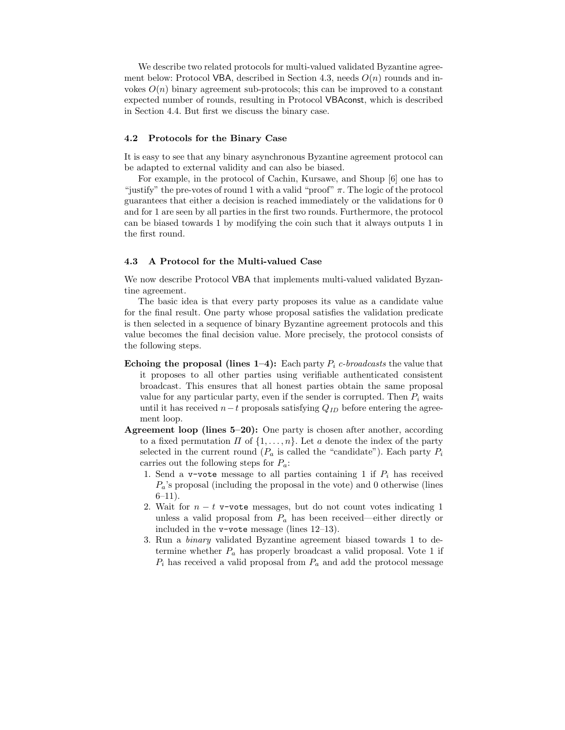We describe two related protocols for multi-valued validated Byzantine agreement below: Protocol VBA, described in Section 4.3, needs  $O(n)$  rounds and invokes  $O(n)$  binary agreement sub-protocols; this can be improved to a constant expected number of rounds, resulting in Protocol VBAconst, which is described in Section 4.4. But first we discuss the binary case.

#### 4.2 Protocols for the Binary Case

It is easy to see that any binary asynchronous Byzantine agreement protocol can be adapted to external validity and can also be biased.

For example, in the protocol of Cachin, Kursawe, and Shoup [6] one has to "justify" the pre-votes of round 1 with a valid "proof"  $\pi$ . The logic of the protocol guarantees that either a decision is reached immediately or the validations for 0 and for 1 are seen by all parties in the first two rounds. Furthermore, the protocol can be biased towards 1 by modifying the coin such that it always outputs 1 in the first round.

#### 4.3 A Protocol for the Multi-valued Case

We now describe Protocol VBA that implements multi-valued validated Byzantine agreement.

The basic idea is that every party proposes its value as a candidate value for the final result. One party whose proposal satisfies the validation predicate is then selected in a sequence of binary Byzantine agreement protocols and this value becomes the final decision value. More precisely, the protocol consists of the following steps.

- Echoing the proposal (lines  $1-4$ ): Each party  $P_i$  c-broadcasts the value that it proposes to all other parties using verifiable authenticated consistent broadcast. This ensures that all honest parties obtain the same proposal value for any particular party, even if the sender is corrupted. Then  $P_i$  waits until it has received  $n-t$  proposals satisfying  $Q_{ID}$  before entering the agreement loop.
- Agreement loop (lines 5–20): One party is chosen after another, according to a fixed permutation  $\Pi$  of  $\{1, \ldots, n\}$ . Let a denote the index of the party selected in the current round  $(P_a$  is called the "candidate"). Each party  $P_i$ carries out the following steps for  $P_a$ :
	- 1. Send a v-vote message to all parties containing 1 if  $P_i$  has received  $P_a$ 's proposal (including the proposal in the vote) and 0 otherwise (lines  $6-11$ ).
	- 2. Wait for  $n t$  v-vote messages, but do not count votes indicating 1 unless a valid proposal from  $P_a$  has been received—either directly or included in the v-vote message (lines 12–13).
	- 3. Run a binary validated Byzantine agreement biased towards 1 to determine whether  $P_a$  has properly broadcast a valid proposal. Vote 1 if  $P_i$  has received a valid proposal from  $P_a$  and add the protocol message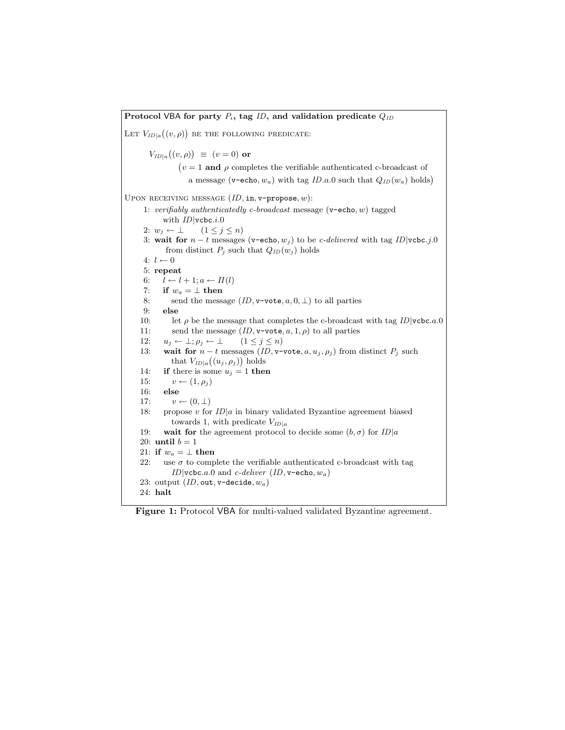```
Protocol VBA for party P_i, tag ID, and validation predicate Q_{ID}LET V_{ID|a}((v, \rho)) be the following predicate:
       V_{I\!D|a}\bigl((v,\rho)\bigr)\ \equiv\ (v=0) \,\,\hbox{or} \,\,(v = 1 and \rho completes the verifiable authenticated c-broadcast of
                   a message (v-echo, w_a) with tag ID.a.0 such that Q_{ID}(w_a) holds)
UPON RECEIVING MESSAGE (ID, in, v-propose, w):
     1: verifiably authenticatedly c-broadcast message (v=echo, w) tagged
           with ID|vcbc.i.0
     2: w_j \leftarrow \perp \qquad (1 \leq j \leq n)3: wait for n - t messages (v-echo, w_j) to be c-delivered with tag ID|vcbc.j.0
            from distinct P_j such that Q_{ID}(w_j) holds
     4: l \leftarrow 05: repeat
     6: l \leftarrow l + 1; a \leftarrow \Pi(l)7: if w_a = \perp then
     8: send the message (ID, v\text{-vote}, a, 0, \bot) to all parties
     9: else
    10: let \rho be the message that completes the c-broadcast with tag ID|vcbc.a.0
    11: send the message (ID, v\text{-vote}, a, 1, \rho) to all parties
    12: u_j \leftarrow \perp; \rho_j \leftarrow \perp \qquad (1 \leq j \leq n)13: wait for n - t messages (ID, v-vote, a, u_j, \rho_j) from distinct P_j such
              that V_{ID|a}((u_j, \rho_j)) holds
    14: if there is some u_j = 1 then
    15: v \leftarrow (1, \rho_j)16: else
    17: v \leftarrow (0, \perp)18: propose v for ID|a in binary validated Byzantine agreement biased
              towards 1, with predicate V_{ID|a}19: wait for the agreement protocol to decide some (b, \sigma) for ID|a20: until b = 121: if w_a = \perp then
    22: use \sigma to complete the verifiable authenticated c-broadcast with tag
              ID|vcbc.a.0 and c-deliver (ID, v=echo, w_a)23: output (ID, out, v\text{-decide}, w_a)24: halt
```
Figure 1: Protocol VBA for multi-valued validated Byzantine agreement.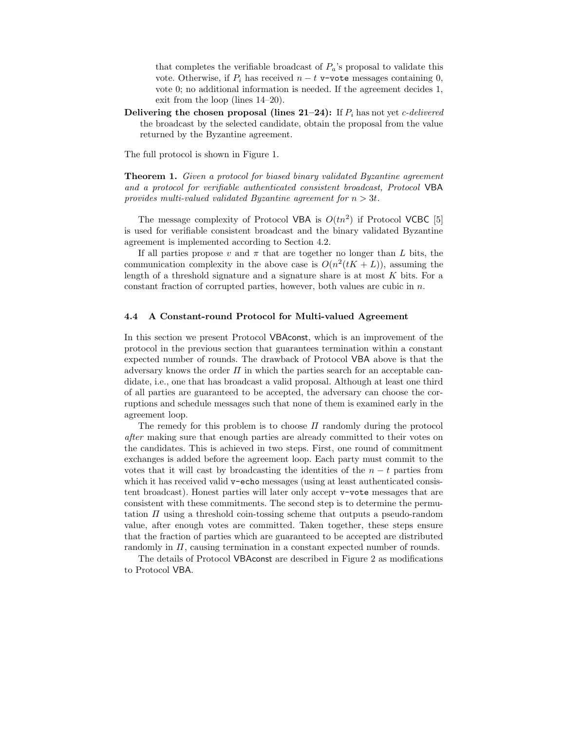that completes the verifiable broadcast of  $P_a$ 's proposal to validate this vote. Otherwise, if  $P_i$  has received  $n - t$  v-vote messages containing 0, vote 0; no additional information is needed. If the agreement decides 1, exit from the loop (lines 14–20).

Delivering the chosen proposal (lines  $21-24$ ): If  $P_i$  has not yet c-delivered the broadcast by the selected candidate, obtain the proposal from the value returned by the Byzantine agreement.

The full protocol is shown in Figure 1.

Theorem 1. Given a protocol for biased binary validated Byzantine agreement and a protocol for verifiable authenticated consistent broadcast, Protocol VBA provides multi-valued validated Byzantine agreement for  $n > 3t$ .

The message complexity of Protocol VBA is  $O(tn^2)$  if Protocol VCBC [5] is used for verifiable consistent broadcast and the binary validated Byzantine agreement is implemented according to Section 4.2.

If all parties propose v and  $\pi$  that are together no longer than L bits, the communication complexity in the above case is  $O(n^2(tK + L))$ , assuming the length of a threshold signature and a signature share is at most  $K$  bits. For a constant fraction of corrupted parties, however, both values are cubic in n.

#### 4.4 A Constant-round Protocol for Multi-valued Agreement

In this section we present Protocol VBAconst, which is an improvement of the protocol in the previous section that guarantees termination within a constant expected number of rounds. The drawback of Protocol VBA above is that the adversary knows the order  $\Pi$  in which the parties search for an acceptable candidate, i.e., one that has broadcast a valid proposal. Although at least one third of all parties are guaranteed to be accepted, the adversary can choose the corruptions and schedule messages such that none of them is examined early in the agreement loop.

The remedy for this problem is to choose  $\Pi$  randomly during the protocol after making sure that enough parties are already committed to their votes on the candidates. This is achieved in two steps. First, one round of commitment exchanges is added before the agreement loop. Each party must commit to the votes that it will cast by broadcasting the identities of the  $n - t$  parties from which it has received valid v-echo messages (using at least authenticated consistent broadcast). Honest parties will later only accept v-vote messages that are consistent with these commitments. The second step is to determine the permutation  $\Pi$  using a threshold coin-tossing scheme that outputs a pseudo-random value, after enough votes are committed. Taken together, these steps ensure that the fraction of parties which are guaranteed to be accepted are distributed randomly in  $\Pi$ , causing termination in a constant expected number of rounds.

The details of Protocol VBAconst are described in Figure 2 as modifications to Protocol VBA.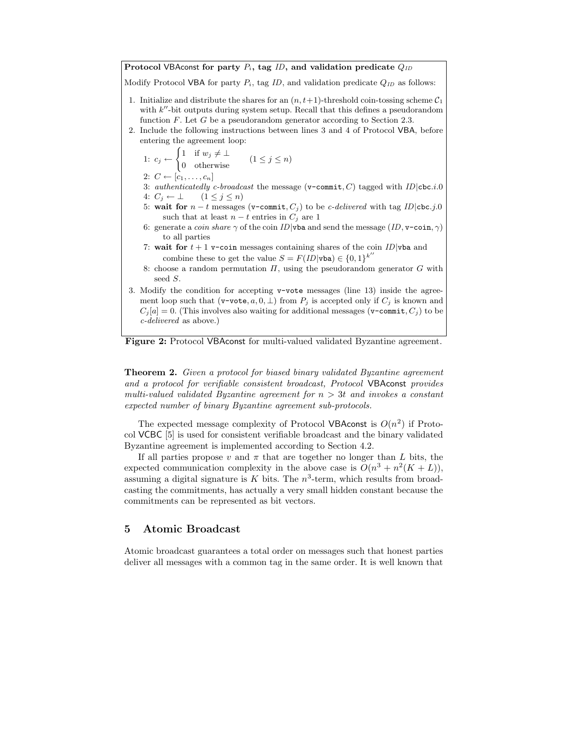#### Protocol VBAconst for party  $P_i$ , tag ID, and validation predicate  $Q_{ID}$

Modify Protocol VBA for party  $P_i$ , tag ID, and validation predicate  $Q_{ID}$  as follows:

- 1. Initialize and distribute the shares for an  $(n, t+1)$ -threshold coin-tossing scheme  $C_1$ with  $k''$ -bit outputs during system setup. Recall that this defines a pseudorandom function  $F$ . Let  $G$  be a pseudorandom generator according to Section 2.3.
- 2. Include the following instructions between lines 3 and 4 of Protocol VBA, before entering the agreement loop:

1: 
$$
c_j \leftarrow \begin{cases} 1 & \text{if } w_j \neq \bot \\ 0 & \text{otherwise} \end{cases}
$$
  $(1 \leq j \leq n)$ 

- 2:  $C \leftarrow [c_1, \ldots, c_n]$
- 3: authenticatedly c-broadcast the message  $(v$ -commit, C) tagged with *ID*|cbc.i.0 4:  $C_i \leftarrow \perp$   $(1 \leq j \leq n)$
- 5: wait for  $n-t$  messages (v-commit,  $C_i$ ) to be c-delivered with tag ID|cbc.j.0 such that at least  $n - t$  entries in  $C_j$  are 1
- 6: generate a *coin share*  $\gamma$  of the coin *ID* vba and send the message  $(ID, \mathbf{v} \text{coin}, \gamma)$ to all parties
- 7: wait for  $t + 1$  v-coin messages containing shares of the coin  $ID|\texttt{vba}$  and combine these to get the value  $S = F(ID|\textbf{vba}) \in \{0,1\}^{k''}$
- 8: choose a random permutation  $\Pi$ , using the pseudorandom generator  $G$  with seed S.
- 3. Modify the condition for accepting v-vote messages (line 13) inside the agreement loop such that  $(\mathbf{v}-\mathbf{vote}, a, 0, \perp)$  from  $P_i$  is accepted only if  $C_i$  is known and  $C_i[a] = 0$ . (This involves also waiting for additional messages (v-commit,  $C_i$ ) to be c-delivered as above.)

Figure 2: Protocol VBAconst for multi-valued validated Byzantine agreement.

Theorem 2. Given a protocol for biased binary validated Byzantine agreement and a protocol for verifiable consistent broadcast, Protocol VBAconst provides multi-valued validated Byzantine agreement for  $n > 3t$  and invokes a constant expected number of binary Byzantine agreement sub-protocols.

The expected message complexity of Protocol VBAconst is  $O(n^2)$  if Protocol VCBC [5] is used for consistent verifiable broadcast and the binary validated Byzantine agreement is implemented according to Section 4.2.

If all parties propose v and  $\pi$  that are together no longer than L bits, the expected communication complexity in the above case is  $O(n^3 + n^2(K + L))$ , assuming a digital signature is K bits. The  $n^3$ -term, which results from broadcasting the commitments, has actually a very small hidden constant because the commitments can be represented as bit vectors.

## 5 Atomic Broadcast

Atomic broadcast guarantees a total order on messages such that honest parties deliver all messages with a common tag in the same order. It is well known that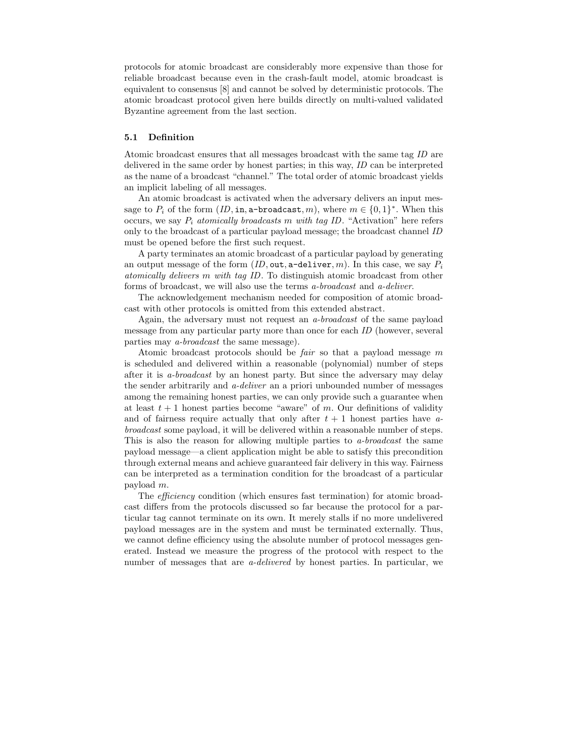protocols for atomic broadcast are considerably more expensive than those for reliable broadcast because even in the crash-fault model, atomic broadcast is equivalent to consensus [8] and cannot be solved by deterministic protocols. The atomic broadcast protocol given here builds directly on multi-valued validated Byzantine agreement from the last section.

#### 5.1 Definition

Atomic broadcast ensures that all messages broadcast with the same tag ID are delivered in the same order by honest parties; in this way, ID can be interpreted as the name of a broadcast "channel." The total order of atomic broadcast yields an implicit labeling of all messages.

An atomic broadcast is activated when the adversary delivers an input message to  $P_i$  of the form  $(ID, in, \texttt{a-broadcast}, m)$ , where  $m \in \{0, 1\}^*$ . When this occurs, we say  $P_i$  atomically broadcasts m with tag ID. "Activation" here refers only to the broadcast of a particular payload message; the broadcast channel ID must be opened before the first such request.

A party terminates an atomic broadcast of a particular payload by generating an output message of the form  $(ID, \text{out}, \text{a-delta})$ . In this case, we say  $P_i$ atomically delivers m with tag ID. To distinguish atomic broadcast from other forms of broadcast, we will also use the terms a-broadcast and a-deliver.

The acknowledgement mechanism needed for composition of atomic broadcast with other protocols is omitted from this extended abstract.

Again, the adversary must not request an a-broadcast of the same payload message from any particular party more than once for each ID (however, several parties may a-broadcast the same message).

Atomic broadcast protocols should be fair so that a payload message m is scheduled and delivered within a reasonable (polynomial) number of steps after it is a-broadcast by an honest party. But since the adversary may delay the sender arbitrarily and a-deliver an a priori unbounded number of messages among the remaining honest parties, we can only provide such a guarantee when at least  $t + 1$  honest parties become "aware" of m. Our definitions of validity and of fairness require actually that only after  $t + 1$  honest parties have abroadcast some payload, it will be delivered within a reasonable number of steps. This is also the reason for allowing multiple parties to a-broadcast the same payload message—a client application might be able to satisfy this precondition through external means and achieve guaranteed fair delivery in this way. Fairness can be interpreted as a termination condition for the broadcast of a particular payload m.

The efficiency condition (which ensures fast termination) for atomic broadcast differs from the protocols discussed so far because the protocol for a particular tag cannot terminate on its own. It merely stalls if no more undelivered payload messages are in the system and must be terminated externally. Thus, we cannot define efficiency using the absolute number of protocol messages generated. Instead we measure the progress of the protocol with respect to the number of messages that are *a-delivered* by honest parties. In particular, we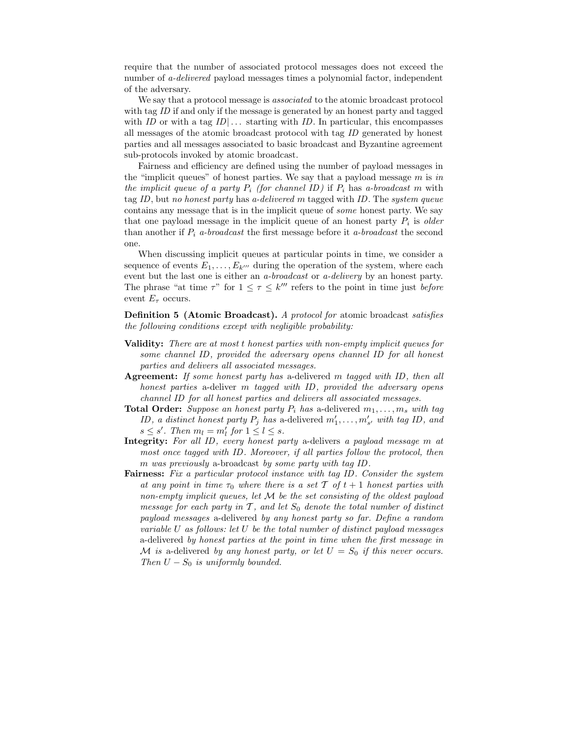require that the number of associated protocol messages does not exceed the number of a-delivered payload messages times a polynomial factor, independent of the adversary.

We say that a protocol message is associated to the atomic broadcast protocol with tag ID if and only if the message is generated by an honest party and tagged with ID or with a tag  $ID | \dots$  starting with ID. In particular, this encompasses all messages of the atomic broadcast protocol with tag ID generated by honest parties and all messages associated to basic broadcast and Byzantine agreement sub-protocols invoked by atomic broadcast.

Fairness and efficiency are defined using the number of payload messages in the "implicit queues" of honest parties. We say that a payload message  $m$  is in the implicit queue of a party  $P_i$  (for channel ID) if  $P_i$  has a-broadcast m with tag ID, but no honest party has a-delivered m tagged with ID. The system queue contains any message that is in the implicit queue of some honest party. We say that one payload message in the implicit queue of an honest party  $P_i$  is *older* than another if  $P_i$  a-broadcast the first message before it a-broadcast the second one.

When discussing implicit queues at particular points in time, we consider a sequence of events  $E_1, \ldots, E_{k^{\prime\prime\prime}}$  during the operation of the system, where each event but the last one is either an *a-broadcast* or *a-delivery* by an honest party. The phrase "at time  $\tau$ " for  $1 \leq \tau \leq k$ " refers to the point in time just *before* event  $E_{\tau}$  occurs.

Definition 5 (Atomic Broadcast). A protocol for atomic broadcast satisfies the following conditions except with negligible probability:

- Validity: There are at most t honest parties with non-empty implicit queues for some channel ID, provided the adversary opens channel ID for all honest parties and delivers all associated messages.
- Agreement: If some honest party has a-delivered m tagged with ID, then all honest parties a-deliver m tagged with ID, provided the adversary opens channel ID for all honest parties and delivers all associated messages.
- **Total Order:** Suppose an honest party  $P_i$  has a-delivered  $m_1, \ldots, m_s$  with tag ID, a distinct honest party  $P_j$  has a-delivered  $m'_1, \ldots, m'_{s'}$  with tag ID, and  $s \leq s'$ . Then  $m_l = m'_l$  for  $1 \leq l \leq s$ .
- Integrity: For all ID, every honest party a-delivers a payload message m at most once tagged with ID. Moreover, if all parties follow the protocol, then m was previously a-broadcast by some party with tag ID.
- Fairness: Fix a particular protocol instance with tag ID. Consider the system at any point in time  $\tau_0$  where there is a set T of  $t + 1$  honest parties with non-empty implicit queues, let M be the set consisting of the oldest payload message for each party in  $T$ , and let  $S_0$  denote the total number of distinct payload messages a-delivered by any honest party so far. Define a random variable U as follows: let U be the total number of distinct payload messages a-delivered by honest parties at the point in time when the first message in M is a-delivered by any honest party, or let  $U = S_0$  if this never occurs. Then  $U - S_0$  is uniformly bounded.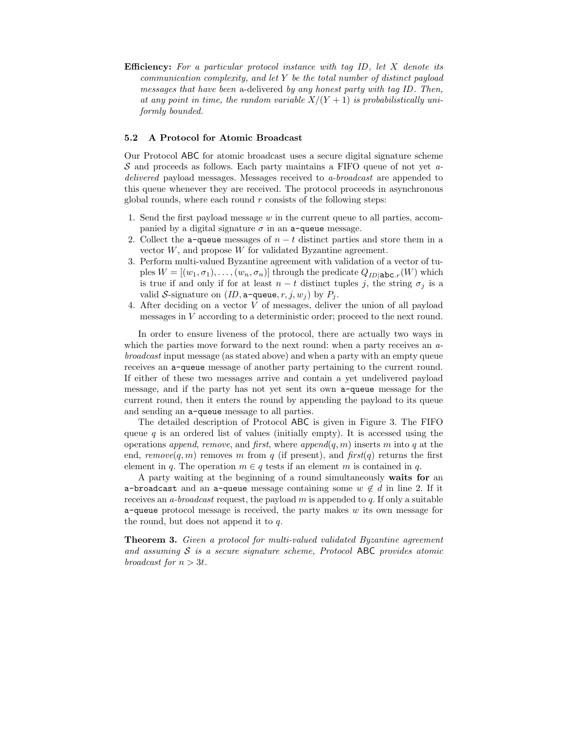**Efficiency:** For a particular protocol instance with tag ID, let X denote its communication complexity, and let Y be the total number of distinct payload messages that have been a-delivered by any honest party with tag ID. Then, at any point in time, the random variable  $X/(Y + 1)$  is probabilistically uniformly bounded.

#### 5.2 A Protocol for Atomic Broadcast

Our Protocol ABC for atomic broadcast uses a secure digital signature scheme  $S$  and proceeds as follows. Each party maintains a FIFO queue of not yet  $a$ delivered payload messages. Messages received to a-broadcast are appended to this queue whenever they are received. The protocol proceeds in asynchronous global rounds, where each round  $r$  consists of the following steps:

- 1. Send the first payload message w in the current queue to all parties, accompanied by a digital signature  $\sigma$  in an a-queue message.
- 2. Collect the a-queue messages of  $n t$  distinct parties and store them in a vector W, and propose W for validated Byzantine agreement.
- 3. Perform multi-valued Byzantine agreement with validation of a vector of tuples  $W = [(w_1, \sigma_1), \ldots, (w_n, \sigma_n)]$  through the predicate  $Q_{ID|\textbf{abc},r}(W)$  which is true if and only if for at least  $n - t$  distinct tuples j, the string  $\sigma_i$  is a valid S-signature on  $(ID, a$ -queue,  $r, j, w_j)$  by  $P_i$ .
- 4. After deciding on a vector V of messages, deliver the union of all payload messages in V according to a deterministic order; proceed to the next round.

In order to ensure liveness of the protocol, there are actually two ways in which the parties move forward to the next round: when a party receives an abroadcast input message (as stated above) and when a party with an empty queue receives an a-queue message of another party pertaining to the current round. If either of these two messages arrive and contain a yet undelivered payload message, and if the party has not yet sent its own a-queue message for the current round, then it enters the round by appending the payload to its queue and sending an a-queue message to all parties.

The detailed description of Protocol ABC is given in Figure 3. The FIFO queue q is an ordered list of values (initially empty). It is accessed using the operations append, remove, and first, where append $(q, m)$  inserts m into q at the end, remove $(q, m)$  removes m from q (if present), and first $(q)$  returns the first element in q. The operation  $m \in q$  tests if an element m is contained in q.

A party waiting at the beginning of a round simultaneously waits for an a-broadcast and an a-queue message containing some  $w \notin d$  in line 2. If it receives an  $a-broadcast$  request, the payload  $m$  is appended to  $q$ . If only a suitable a-queue protocol message is received, the party makes  $w$  its own message for the round, but does not append it to  $q$ .

Theorem 3. Given a protocol for multi-valued validated Byzantine agreement and assuming  $S$  is a secure signature scheme, Protocol ABC provides atomic broadcast for  $n > 3t$ .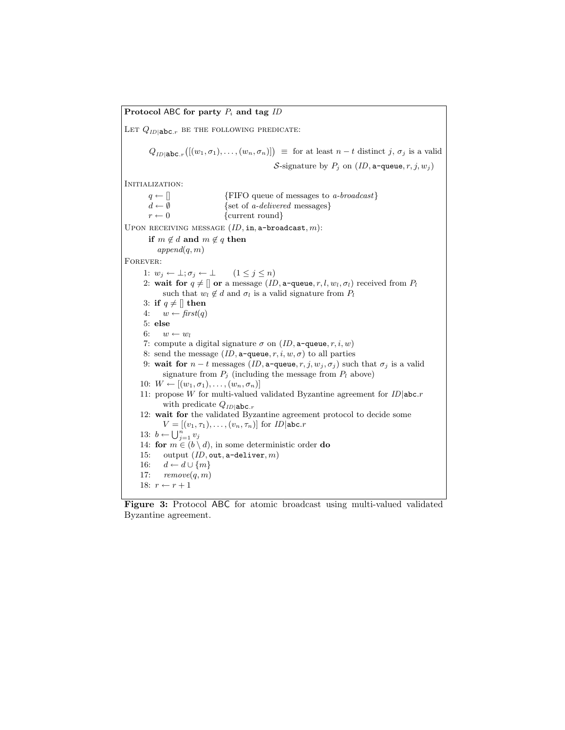```
Protocol ABC for party P_i and tag ID
LET Q_{ID|\textbf{abc},r} be the following predicate:
        Q_{ID|\textbf{abc},r}((w_1,\sigma_1),\ldots,(w_n,\sigma_n))] \equiv \text{ for at least } n-t \text{ distinct } j, \sigma_j \text{ is a valid }S-signature by P_j on (ID, a-queue, r, j, w_j)INITIALIZATION:
       q \leftarrow [] {FIFO queue of messages to a-broadcast}
       d \leftarrow \emptyset {set of a-delivered messages}
       r \leftarrow 0 {current round}
UPON RECEIVING MESSAGE (ID, in, a-broadcast, m):
       if m \notin d and m \notin q then
          append(q, m)Forever:
      1: w_j \leftarrow \bot; \sigma_j \leftarrow \bot \qquad (1 \leq j \leq n)2: wait for q \neq \emptyset or a message (ID, \texttt{a-queue}, r, l, w_l, \sigma_l) received from P_lsuch that w_l \notin d and \sigma_l is a valid signature from P_l3: if q \neq || then
      4: w \leftarrow \text{first}(q)5: else
      6: w \leftarrow w_l7: compute a digital signature \sigma on (ID, \mathbf{a}-queue, r, i, w)8: send the message (ID, a-queue, r, i, w, \sigma) to all parties
      9: wait for n - t messages (ID, a-queue, r, j, w_j, \sigma_j) such that \sigma_j is a valid
            signature from P_i (including the message from P_i above)
    10: W \leftarrow [(w_1, \sigma_1), \ldots, (w_n, \sigma_n)]11: propose W for multi-valued validated Byzantine agreement for ID | \texttt{abc}.rwith predicate Q_{ID|\textbf{abc},r}12: wait for the validated Byzantine agreement protocol to decide some
            V = [(v_1, \tau_1), \ldots, (v_n, \tau_n)] for ID abc.r
     13: b \leftarrow \bigcup_{j=1}^n v_j14: for m \in (b \setminus d), in some deterministic order do
    15: output (ID, out, a\n-deliver, m)16: d \leftarrow d \cup \{m\}17: remove(q, m)18: r \leftarrow r + 1
```
Figure 3: Protocol ABC for atomic broadcast using multi-valued validated Byzantine agreement.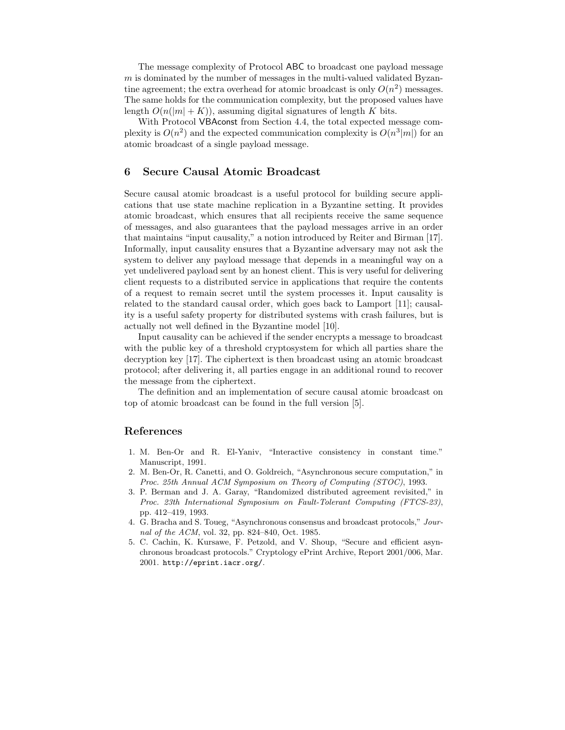The message complexity of Protocol ABC to broadcast one payload message m is dominated by the number of messages in the multi-valued validated Byzantine agreement; the extra overhead for atomic broadcast is only  $O(n^2)$  messages. The same holds for the communication complexity, but the proposed values have length  $O(n(|m| + K))$ , assuming digital signatures of length K bits.

With Protocol VBAconst from Section 4.4, the total expected message complexity is  $O(n^2)$  and the expected communication complexity is  $O(n^3|m|)$  for an atomic broadcast of a single payload message.

## 6 Secure Causal Atomic Broadcast

Secure causal atomic broadcast is a useful protocol for building secure applications that use state machine replication in a Byzantine setting. It provides atomic broadcast, which ensures that all recipients receive the same sequence of messages, and also guarantees that the payload messages arrive in an order that maintains "input causality," a notion introduced by Reiter and Birman [17]. Informally, input causality ensures that a Byzantine adversary may not ask the system to deliver any payload message that depends in a meaningful way on a yet undelivered payload sent by an honest client. This is very useful for delivering client requests to a distributed service in applications that require the contents of a request to remain secret until the system processes it. Input causality is related to the standard causal order, which goes back to Lamport [11]; causality is a useful safety property for distributed systems with crash failures, but is actually not well defined in the Byzantine model [10].

Input causality can be achieved if the sender encrypts a message to broadcast with the public key of a threshold cryptosystem for which all parties share the decryption key [17]. The ciphertext is then broadcast using an atomic broadcast protocol; after delivering it, all parties engage in an additional round to recover the message from the ciphertext.

The definition and an implementation of secure causal atomic broadcast on top of atomic broadcast can be found in the full version [5].

# References

- 1. M. Ben-Or and R. El-Yaniv, "Interactive consistency in constant time." Manuscript, 1991.
- 2. M. Ben-Or, R. Canetti, and O. Goldreich, "Asynchronous secure computation," in Proc. 25th Annual ACM Symposium on Theory of Computing (STOC), 1993.
- 3. P. Berman and J. A. Garay, "Randomized distributed agreement revisited," in Proc. 23th International Symposium on Fault-Tolerant Computing (FTCS-23), pp. 412–419, 1993.
- 4. G. Bracha and S. Toueg, "Asynchronous consensus and broadcast protocols," Journal of the ACM, vol. 32, pp. 824–840, Oct. 1985.
- 5. C. Cachin, K. Kursawe, F. Petzold, and V. Shoup, "Secure and efficient asynchronous broadcast protocols." Cryptology ePrint Archive, Report 2001/006, Mar. 2001. http://eprint.iacr.org/.